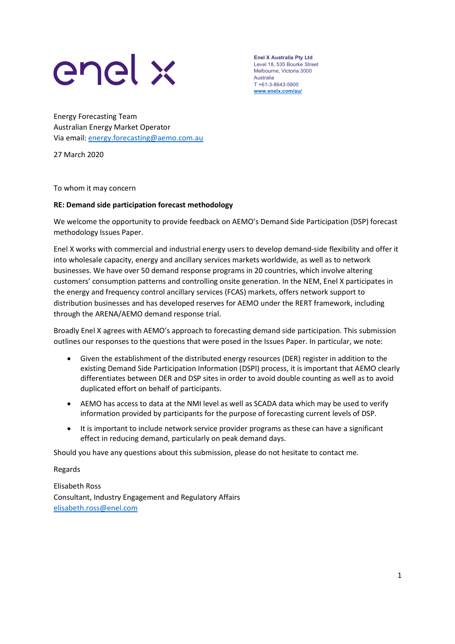

Enel X Australia Pty Ltd Level 18, 535 Bourke Street Melbourne, Victoria 3000 Australia T +61-3-8643-5900 www.enelx.com/au/

Energy Forecasting Team Australian Energy Market Operator Via email: **energy.forecasting@aemo.com.au** 27 March 2020

To whom it may concern

## RE: Demand side participation forecast methodology

We welcome the opportunity to provide feedback on AEMO's Demand Side Participation (DSP) forecast methodology Issues Paper.

Enel X works with commercial and industrial energy users to develop demand-side flexibility and offer it into wholesale capacity, energy and ancillary services markets worldwide, as well as to network businesses. We have over 50 demand response programs in 20 countries, which involve altering customers' consumption patterns and controlling onsite generation. In the NEM, Enel X participates in the energy and frequency control ancillary services (FCAS) markets, offers network support to distribution businesses and has developed reserves for AEMO under the RERT framework, including through the ARENA/AEMO demand response trial.

Broadly Enel X agrees with AEMO's approach to forecasting demand side participation. This submission outlines our responses to the questions that were posed in the Issues Paper. In particular, we note:

- Given the establishment of the distributed energy resources (DER) register in addition to the existing Demand Side Participation Information (DSPI) process, it is important that AEMO clearly differentiates between DER and DSP sites in order to avoid double counting as well as to avoid duplicated effort on behalf of participants.
- AEMO has access to data at the NMI level as well as SCADA data which may be used to verify information provided by participants for the purpose of forecasting current levels of DSP.
- It is important to include network service provider programs as these can have a significant effect in reducing demand, particularly on peak demand days.

Should you have any questions about this submission, please do not hesitate to contact me.

Regards

Elisabeth Ross Consultant, Industry Engagement and Regulatory Affairs elisabeth.ross@enel.com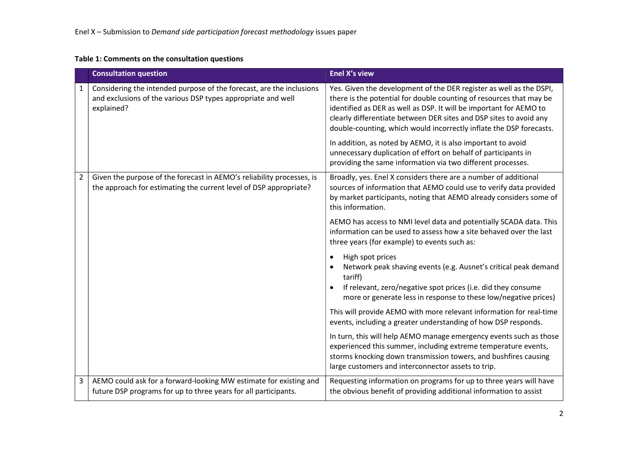## Table 1: Comments on the consultation questions

|                | <b>Consultation question</b>                                                                                                                       | <b>Enel X's view</b>                                                                                                                                                                                                                                                                                                                                          |
|----------------|----------------------------------------------------------------------------------------------------------------------------------------------------|---------------------------------------------------------------------------------------------------------------------------------------------------------------------------------------------------------------------------------------------------------------------------------------------------------------------------------------------------------------|
| 1              | Considering the intended purpose of the forecast, are the inclusions<br>and exclusions of the various DSP types appropriate and well<br>explained? | Yes. Given the development of the DER register as well as the DSPI,<br>there is the potential for double counting of resources that may be<br>identified as DER as well as DSP. It will be important for AEMO to<br>clearly differentiate between DER sites and DSP sites to avoid any<br>double-counting, which would incorrectly inflate the DSP forecasts. |
|                |                                                                                                                                                    | In addition, as noted by AEMO, it is also important to avoid<br>unnecessary duplication of effort on behalf of participants in<br>providing the same information via two different processes.                                                                                                                                                                 |
| $\overline{2}$ | Given the purpose of the forecast in AEMO's reliability processes, is<br>the approach for estimating the current level of DSP appropriate?         | Broadly, yes. Enel X considers there are a number of additional<br>sources of information that AEMO could use to verify data provided<br>by market participants, noting that AEMO already considers some of<br>this information.                                                                                                                              |
|                |                                                                                                                                                    | AEMO has access to NMI level data and potentially SCADA data. This<br>information can be used to assess how a site behaved over the last<br>three years (for example) to events such as:                                                                                                                                                                      |
|                |                                                                                                                                                    | High spot prices<br>$\bullet$<br>Network peak shaving events (e.g. Ausnet's critical peak demand<br>tariff)<br>If relevant, zero/negative spot prices (i.e. did they consume<br>more or generate less in response to these low/negative prices)                                                                                                               |
|                |                                                                                                                                                    | This will provide AEMO with more relevant information for real-time<br>events, including a greater understanding of how DSP responds.                                                                                                                                                                                                                         |
|                |                                                                                                                                                    | In turn, this will help AEMO manage emergency events such as those<br>experienced this summer, including extreme temperature events,<br>storms knocking down transmission towers, and bushfires causing<br>large customers and interconnector assets to trip.                                                                                                 |
| 3              | AEMO could ask for a forward-looking MW estimate for existing and<br>future DSP programs for up to three years for all participants.               | Requesting information on programs for up to three years will have<br>the obvious benefit of providing additional information to assist                                                                                                                                                                                                                       |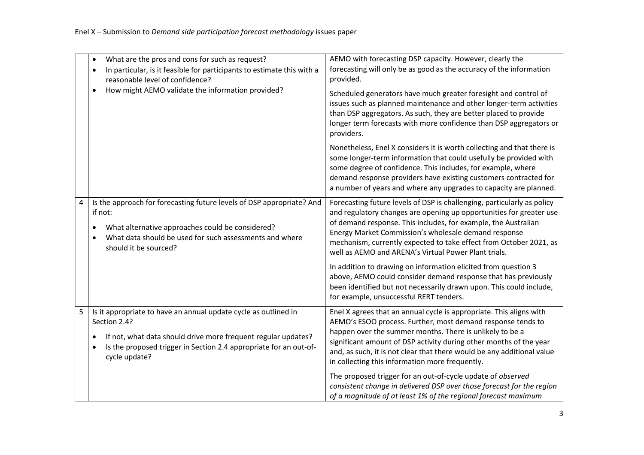|   | What are the pros and cons for such as request?<br>$\bullet$<br>In particular, is it feasible for participants to estimate this with a<br>$\bullet$<br>reasonable level of confidence?<br>How might AEMO validate the information provided?<br>$\bullet$ | AEMO with forecasting DSP capacity. However, clearly the<br>forecasting will only be as good as the accuracy of the information<br>provided.<br>Scheduled generators have much greater foresight and control of<br>issues such as planned maintenance and other longer-term activities<br>than DSP aggregators. As such, they are better placed to provide<br>longer term forecasts with more confidence than DSP aggregators or |
|---|----------------------------------------------------------------------------------------------------------------------------------------------------------------------------------------------------------------------------------------------------------|----------------------------------------------------------------------------------------------------------------------------------------------------------------------------------------------------------------------------------------------------------------------------------------------------------------------------------------------------------------------------------------------------------------------------------|
|   |                                                                                                                                                                                                                                                          | providers.<br>Nonetheless, Enel X considers it is worth collecting and that there is<br>some longer-term information that could usefully be provided with<br>some degree of confidence. This includes, for example, where<br>demand response providers have existing customers contracted for<br>a number of years and where any upgrades to capacity are planned.                                                               |
| 4 | Is the approach for forecasting future levels of DSP appropriate? And<br>if not:<br>What alternative approaches could be considered?<br>What data should be used for such assessments and where<br>$\bullet$<br>should it be sourced?                    | Forecasting future levels of DSP is challenging, particularly as policy<br>and regulatory changes are opening up opportunities for greater use<br>of demand response. This includes, for example, the Australian<br>Energy Market Commission's wholesale demand response<br>mechanism, currently expected to take effect from October 2021, as<br>well as AEMO and ARENA's Virtual Power Plant trials.                           |
|   |                                                                                                                                                                                                                                                          | In addition to drawing on information elicited from question 3<br>above, AEMO could consider demand response that has previously<br>been identified but not necessarily drawn upon. This could include,<br>for example, unsuccessful RERT tenders.                                                                                                                                                                               |
| 5 | Is it appropriate to have an annual update cycle as outlined in<br>Section 2.4?<br>If not, what data should drive more frequent regular updates?<br>$\bullet$<br>Is the proposed trigger in Section 2.4 appropriate for an out-of-<br>cycle update?      | Enel X agrees that an annual cycle is appropriate. This aligns with<br>AEMO's ESOO process. Further, most demand response tends to<br>happen over the summer months. There is unlikely to be a<br>significant amount of DSP activity during other months of the year<br>and, as such, it is not clear that there would be any additional value<br>in collecting this information more frequently.                                |
|   |                                                                                                                                                                                                                                                          | The proposed trigger for an out-of-cycle update of observed<br>consistent change in delivered DSP over those forecast for the region<br>of a magnitude of at least 1% of the regional forecast maximum                                                                                                                                                                                                                           |